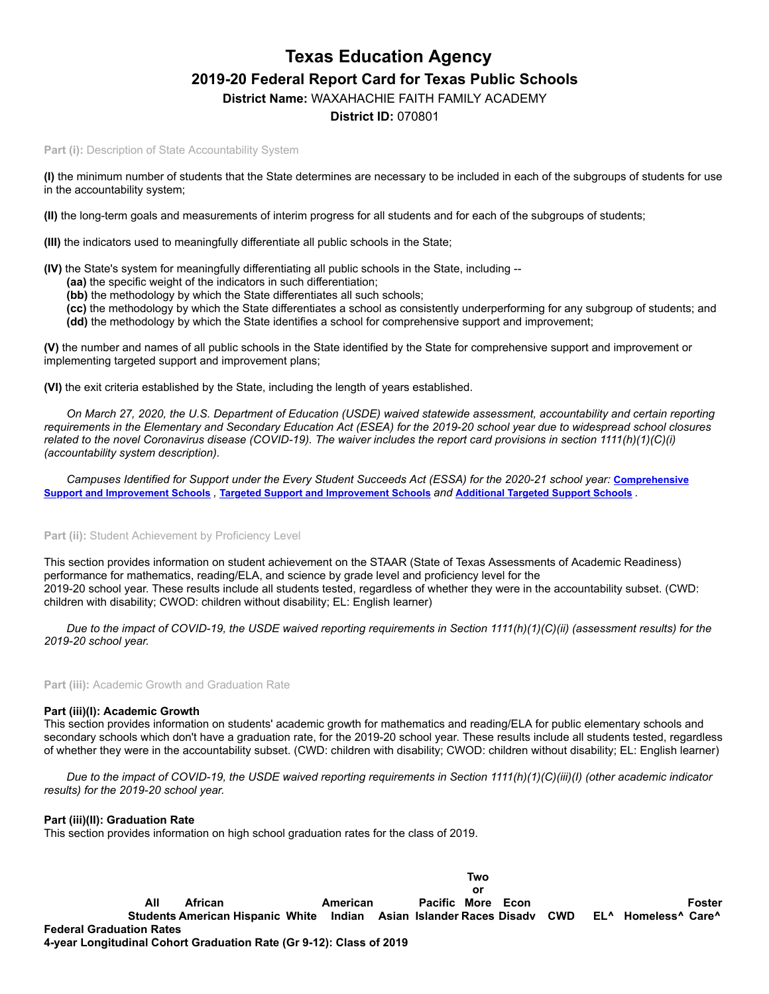# **Texas Education Agency 2019-20 Federal Report Card for Texas Public Schools**

**District Name:** WAXAHACHIE FAITH FAMILY ACADEMY

# **District ID:** 070801

Part (i): Description of State Accountability System

**(I)** the minimum number of students that the State determines are necessary to be included in each of the subgroups of students for use in the accountability system;

**(II)** the long-term goals and measurements of interim progress for all students and for each of the subgroups of students;

**(III)** the indicators used to meaningfully differentiate all public schools in the State;

**(IV)** the State's system for meaningfully differentiating all public schools in the State, including --

- **(aa)** the specific weight of the indicators in such differentiation;
- **(bb)** the methodology by which the State differentiates all such schools;
- **(cc)** the methodology by which the State differentiates a school as consistently underperforming for any subgroup of students; and **(dd)** the methodology by which the State identifies a school for comprehensive support and improvement;

**(V)** the number and names of all public schools in the State identified by the State for comprehensive support and improvement or implementing targeted support and improvement plans;

**(VI)** the exit criteria established by the State, including the length of years established.

*On March 27, 2020, the U.S. Department of Education (USDE) waived statewide assessment, accountability and certain reporting requirements in the Elementary and Secondary Education Act (ESEA) for the 2019-20 school year due to widespread school closures related to the novel Coronavirus disease (COVID-19). The waiver includes the report card provisions in section 1111(h)(1)(C)(i) (accountability system description).*

*[Campuses Identified for Support under the Every Student Succeeds Act \(ESSA\) for the 2020-21 school year:](https://tea.texas.gov/sites/default/files/comprehensive_support_2020.xlsx) Comprehensive* Support and [Improvement](https://tea.texas.gov/sites/default/files/targeted_support_2020.xlsx) Schools, Targeted Support and Improvement Schools and [Additional](https://tea.texas.gov/sites/default/files/additional_targeted_support_2020.xlsx) Targeted Support Schools.

#### Part (ii): Student Achievement by Proficiency Level

This section provides information on student achievement on the STAAR (State of Texas Assessments of Academic Readiness) performance for mathematics, reading/ELA, and science by grade level and proficiency level for the 2019-20 school year. These results include all students tested, regardless of whether they were in the accountability subset. (CWD: children with disability; CWOD: children without disability; EL: English learner)

*Due to the impact of COVID-19, the USDE waived reporting requirements in Section 1111(h)(1)(C)(ii) (assessment results) for the 2019-20 school year.*

**Part (iii):** Academic Growth and Graduation Rate

#### **Part (iii)(I): Academic Growth**

This section provides information on students' academic growth for mathematics and reading/ELA for public elementary schools and secondary schools which don't have a graduation rate, for the 2019-20 school year. These results include all students tested, regardless of whether they were in the accountability subset. (CWD: children with disability; CWOD: children without disability; EL: English learner)

*Due to the impact of COVID-19, the USDE waived reporting requirements in Section 1111(h)(1)(C)(iii)(I) (other academic indicator results) for the 2019-20 school year.*

#### **Part (iii)(II): Graduation Rate**

This section provides information on high school graduation rates for the class of 2019.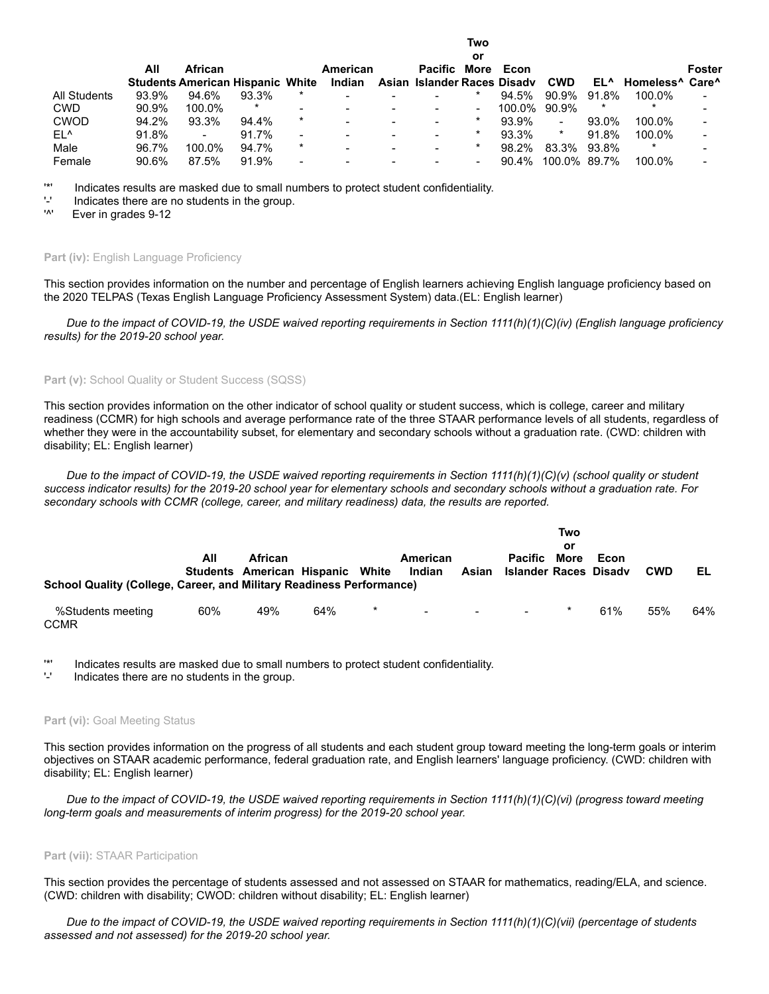|                 |       |                                         |        |                          |                          |                          |                             | or                       |          |                |        |                                                         |        |
|-----------------|-------|-----------------------------------------|--------|--------------------------|--------------------------|--------------------------|-----------------------------|--------------------------|----------|----------------|--------|---------------------------------------------------------|--------|
|                 | All   | <b>African</b>                          |        |                          | American                 |                          | <b>Pacific More</b>         |                          | Econ     |                |        |                                                         | Foster |
|                 |       | <b>Students American Hispanic White</b> |        |                          | Indian                   |                          | Asian Islander Races Disady |                          |          | <b>CWD</b>     |        | EL <sup>A</sup> Homeless <sup>A</sup> Care <sup>A</sup> |        |
| All Students    | 93.9% | 94.6%                                   | 93.3%  |                          |                          |                          |                             |                          | 94.5%    | 90.9%          | 91.8%  | 100.0%                                                  |        |
| <b>CWD</b>      | 90.9% | 100.0%                                  | $\ast$ |                          | $\overline{\phantom{0}}$ | $\overline{\phantom{0}}$ |                             | $\overline{\phantom{a}}$ | 100.0%   | 90.9%          | $\ast$ |                                                         |        |
| <b>CWOD</b>     | 94.2% | 93.3%                                   | 94.4%  | $\star$                  | -                        | $\overline{\phantom{0}}$ | $\overline{\phantom{0}}$    |                          | 93.9%    | $\blacksquare$ | 93.0%  | 100.0%                                                  |        |
| EL <sup>^</sup> | 91.8% | $\blacksquare$                          | 91.7%  | $\overline{\phantom{0}}$ | -                        | $\overline{\phantom{0}}$ | $\,$                        |                          | 93.3%    | $\star$        | 91.8%  | 100.0%                                                  |        |
| Male            | 96.7% | 100.0%                                  | 94.7%  | $\star$                  | -                        | $\,$                     |                             | *                        | 98.2%    | 83.3%          | 93.8%  | *                                                       |        |
| Female          | 90.6% | 87.5%                                   | 91.9%  | $\,$                     |                          |                          |                             |                          | $90.4\%$ | 100.0% 89.7%   |        | 100.0%                                                  |        |

**Two**

'\*' Indicates results are masked due to small numbers to protect student confidentiality.

 $'$ -' Indicates there are no students in the group.<br>'<sup>A'</sup> Ever in grades  $9.12$ 

Ever in grades 9-12

#### **Part (iv): English Language Proficiency**

This section provides information on the number and percentage of English learners achieving English language proficiency based on the 2020 TELPAS (Texas English Language Proficiency Assessment System) data.(EL: English learner)

*Due to the impact of COVID-19, the USDE waived reporting requirements in Section 1111(h)(1)(C)(iv) (English language proficiency results) for the 2019-20 school year.*

## Part (v): School Quality or Student Success (SQSS)

This section provides information on the other indicator of school quality or student success, which is college, career and military readiness (CCMR) for high schools and average performance rate of the three STAAR performance levels of all students, regardless of whether they were in the accountability subset, for elementary and secondary schools without a graduation rate. (CWD: children with disability; EL: English learner)

*Due to the impact of COVID-19, the USDE waived reporting requirements in Section 1111(h)(1)(C)(v) (school quality or student success indicator results) for the 2019-20 school year for elementary schools and secondary schools without a graduation rate. For secondary schools with CCMR (college, career, and military readiness) data, the results are reported.*

| School Quality (College, Career, and Military Readiness Performance) | All | African<br>Students American Hispanic White |     |         | American<br>Indian                | Asian  | <b>Pacific</b><br><b>Islander Races Disadv</b> | Two<br>or<br>More | Econ | <b>CWD</b> | EL  |
|----------------------------------------------------------------------|-----|---------------------------------------------|-----|---------|-----------------------------------|--------|------------------------------------------------|-------------------|------|------------|-----|
| %Students meeting<br><b>CCMR</b>                                     | 60% | 49%                                         | 64% | $\star$ | <b>Contract Contract Contract</b> | $\sim$ | $\sim$                                         | $\star$           | 61%  | 55%        | 64% |

'\*' Indicates results are masked due to small numbers to protect student confidentiality.

'-' Indicates there are no students in the group.

#### **Part (vi): Goal Meeting Status**

This section provides information on the progress of all students and each student group toward meeting the long-term goals or interim objectives on STAAR academic performance, federal graduation rate, and English learners' language proficiency. (CWD: children with disability; EL: English learner)

*Due to the impact of COVID-19, the USDE waived reporting requirements in Section 1111(h)(1)(C)(vi) (progress toward meeting long-term goals and measurements of interim progress) for the 2019-20 school year.*

#### **Part (vii):** STAAR Participation

This section provides the percentage of students assessed and not assessed on STAAR for mathematics, reading/ELA, and science. (CWD: children with disability; CWOD: children without disability; EL: English learner)

*Due to the impact of COVID-19, the USDE waived reporting requirements in Section 1111(h)(1)(C)(vii) (percentage of students assessed and not assessed) for the 2019-20 school year.*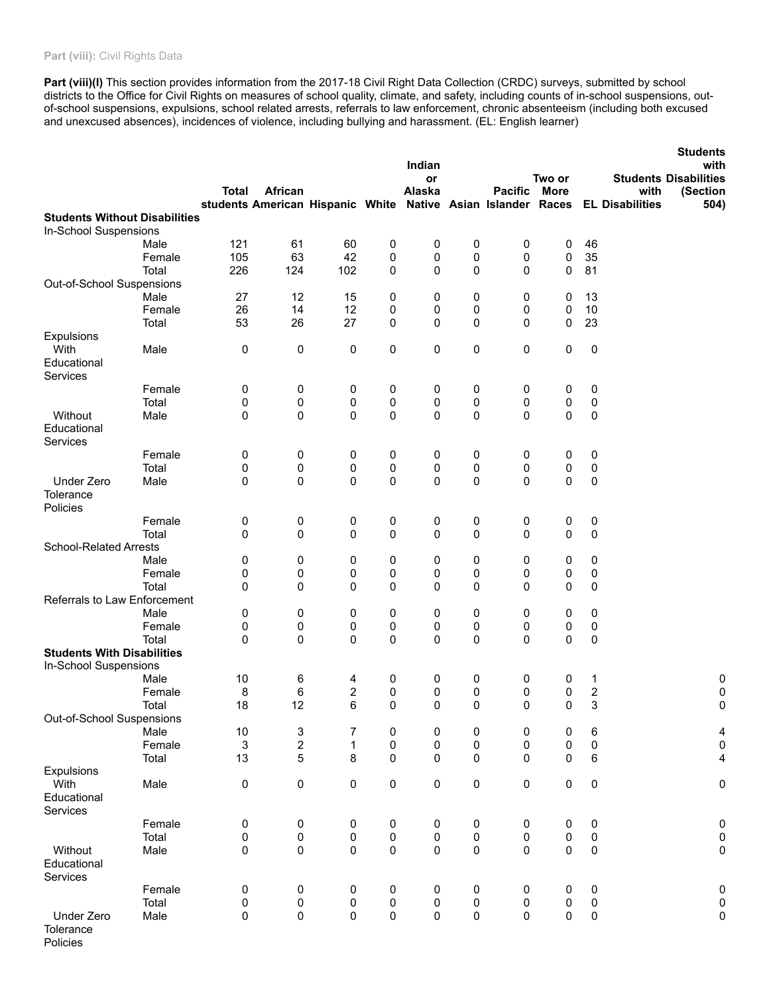# Part (viii): Civil Rights Data

Part (viii)(I) This section provides information from the 2017-18 Civil Right Data Collection (CRDC) surveys, submitted by school districts to the Office for Civil Rights on measures of school quality, climate, and safety, including counts of in-school suspensions, outof-school suspensions, expulsions, school related arrests, referrals to law enforcement, chronic absenteeism (including both excused and unexcused absences), incidences of violence, including bullying and harassment. (EL: English learner)

|                                      |        |                           |                                                              |              |           |                        |                        |                        |                |                  | <b>Students</b>        |                                      |
|--------------------------------------|--------|---------------------------|--------------------------------------------------------------|--------------|-----------|------------------------|------------------------|------------------------|----------------|------------------|------------------------|--------------------------------------|
|                                      |        |                           |                                                              |              |           | Indian<br>or           |                        |                        | Two or         |                  |                        | with<br><b>Students Disabilities</b> |
|                                      |        | <b>Total</b>              | African                                                      |              |           | Alaska                 |                        | <b>Pacific</b>         | <b>More</b>    |                  | with                   | (Section                             |
|                                      |        |                           | students American Hispanic White Native Asian Islander Races |              |           |                        |                        |                        |                |                  | <b>EL Disabilities</b> | 504)                                 |
| <b>Students Without Disabilities</b> |        |                           |                                                              |              |           |                        |                        |                        |                |                  |                        |                                      |
| In-School Suspensions                |        |                           |                                                              |              |           |                        |                        |                        |                |                  |                        |                                      |
|                                      | Male   | 121                       | 61                                                           | 60           | $\pmb{0}$ | 0                      | 0                      | 0                      | 0              | 46               |                        |                                      |
|                                      | Female | 105                       | 63                                                           | 42           | 0         | 0                      | 0                      | 0                      | 0              | 35               |                        |                                      |
|                                      | Total  | 226                       | 124                                                          | 102          | 0         | $\Omega$               | 0                      | $\mathbf 0$            | 0              | 81               |                        |                                      |
| Out-of-School Suspensions            |        |                           |                                                              |              |           |                        |                        |                        |                |                  |                        |                                      |
|                                      | Male   | 27                        | 12                                                           | 15           | 0         | 0                      | 0                      | 0                      | 0              | 13               |                        |                                      |
|                                      | Female | 26                        | 14                                                           | 12           | 0         | 0                      | 0                      | 0                      | 0              | 10               |                        |                                      |
|                                      | Total  | 53                        | 26                                                           | 27           | 0         | $\Omega$               | 0                      | $\mathbf{0}$           | 0              | 23               |                        |                                      |
| Expulsions                           |        |                           |                                                              |              |           |                        |                        |                        |                |                  |                        |                                      |
| With                                 | Male   | 0                         | 0                                                            | 0            | 0         | 0                      | 0                      | 0                      | 0              | $\pmb{0}$        |                        |                                      |
| Educational                          |        |                           |                                                              |              |           |                        |                        |                        |                |                  |                        |                                      |
| Services                             |        |                           |                                                              |              |           |                        |                        |                        |                |                  |                        |                                      |
|                                      | Female | 0                         | 0                                                            | 0            | 0         | 0                      | 0                      | 0                      | 0              | 0                |                        |                                      |
|                                      | Total  | 0                         | 0                                                            | 0            | 0         | 0                      | 0                      | $\pmb{0}$              | 0              | $\pmb{0}$        |                        |                                      |
| Without                              | Male   | 0                         | 0                                                            | 0            | 0         | $\Omega$               | 0                      | 0                      | 0              | 0                |                        |                                      |
| Educational                          |        |                           |                                                              |              |           |                        |                        |                        |                |                  |                        |                                      |
| Services                             |        |                           |                                                              |              |           |                        |                        |                        |                |                  |                        |                                      |
|                                      | Female | 0                         | 0                                                            | 0            | 0         | 0                      | 0                      | 0                      | 0              | 0                |                        |                                      |
|                                      | Total  | 0                         | 0                                                            | 0            | $\pmb{0}$ | 0                      | $\pmb{0}$              |                        |                |                  |                        |                                      |
| <b>Under Zero</b>                    |        | 0                         |                                                              | 0            | $\pmb{0}$ | $\Omega$               | $\mathbf 0$            | 0<br>$\Omega$          | 0<br>0         | 0                |                        |                                      |
|                                      | Male   |                           | 0                                                            |              |           |                        |                        |                        |                | 0                |                        |                                      |
| Tolerance                            |        |                           |                                                              |              |           |                        |                        |                        |                |                  |                        |                                      |
| Policies                             |        |                           |                                                              |              |           |                        |                        |                        |                |                  |                        |                                      |
|                                      | Female | 0                         | 0                                                            | 0            | 0         | 0                      | 0                      | 0                      | 0              | 0                |                        |                                      |
|                                      | Total  | 0                         | 0                                                            | 0            | 0         | $\mathbf{0}$           | $\mathbf 0$            | $\mathbf{0}$           | 0              | $\pmb{0}$        |                        |                                      |
| <b>School-Related Arrests</b>        |        |                           |                                                              |              |           |                        |                        |                        |                |                  |                        |                                      |
|                                      | Male   | 0                         | 0                                                            | 0            | 0         | 0                      | 0                      | 0                      | 0              | 0                |                        |                                      |
|                                      | Female | 0                         | 0                                                            | 0            | 0         | 0                      | 0                      | 0                      | 0              | $\pmb{0}$        |                        |                                      |
|                                      | Total  | 0                         | 0                                                            | 0            | 0         | $\Omega$               | 0                      | 0                      | 0              | 0                |                        |                                      |
| Referrals to Law Enforcement         |        |                           |                                                              |              |           |                        |                        |                        |                |                  |                        |                                      |
|                                      | Male   | 0                         | 0                                                            | 0            | 0         | 0                      | 0                      | 0                      | 0              | 0                |                        |                                      |
|                                      | Female | 0                         | 0                                                            | 0            | 0         | 0                      | $\pmb{0}$              | 0                      | 0              | $\pmb{0}$        |                        |                                      |
|                                      | Total  | 0                         | 0                                                            | 0            | 0         | $\Omega$               | 0                      | $\Omega$               | 0              | $\pmb{0}$        |                        |                                      |
| <b>Students With Disabilities</b>    |        |                           |                                                              |              |           |                        |                        |                        |                |                  |                        |                                      |
| In-School Suspensions                |        |                           |                                                              |              |           |                        |                        |                        |                |                  |                        |                                      |
|                                      | Male   | 10                        | 6                                                            | 4            | 0         | 0                      | 0                      | 0                      | 0              | 1                |                        | 0                                    |
|                                      | Female | 8                         | 6                                                            | 2            | 0         | 0                      | 0                      | 0                      | 0              | $\boldsymbol{2}$ |                        | $\pmb{0}$                            |
|                                      | Total  | 18                        | 12                                                           | 6            | 0         | $\Omega$               | $\mathbf{0}$           | $\mathbf{0}$           | 0              | 3                |                        | 0                                    |
| Out-of-School Suspensions            |        |                           |                                                              |              |           |                        |                        |                        |                |                  |                        |                                      |
|                                      | Male   | 10                        | 3                                                            | 7            | 0         | 0                      | 0                      | 0                      | 0              | 6                |                        | $\overline{a}$                       |
|                                      | Female | $\ensuremath{\mathsf{3}}$ | $\boldsymbol{2}$                                             | $\mathbf{1}$ | $\pmb{0}$ | $\pmb{0}$              | $\pmb{0}$              | 0                      | 0              | $\mathsf 0$      |                        | $\pmb{0}$                            |
|                                      | Total  | 13                        | 5                                                            | 8            | $\pmb{0}$ | $\pmb{0}$              | $\pmb{0}$              | $\pmb{0}$              | 0              | $\,6\,$          |                        | $\overline{4}$                       |
| Expulsions                           |        |                           |                                                              |              |           |                        |                        |                        |                |                  |                        |                                      |
| With                                 | Male   | 0                         | 0                                                            | 0            | $\pmb{0}$ | $\pmb{0}$              | $\pmb{0}$              | $\pmb{0}$              | 0              | $\pmb{0}$        |                        | $\pmb{0}$                            |
| Educational                          |        |                           |                                                              |              |           |                        |                        |                        |                |                  |                        |                                      |
| Services                             |        |                           |                                                              |              |           |                        |                        |                        |                |                  |                        |                                      |
|                                      | Female | 0                         | 0                                                            | 0            | $\pmb{0}$ | $\pmb{0}$              | 0                      | 0                      | 0              | 0                |                        | $\pmb{0}$                            |
|                                      | Total  | 0                         | 0                                                            | $\pmb{0}$    | $\pmb{0}$ | $\pmb{0}$              | $\pmb{0}$              | $\pmb{0}$              | 0              | $\pmb{0}$        |                        | $\pmb{0}$                            |
| Without                              | Male   | 0                         | $\mathsf 0$                                                  | $\pmb{0}$    | $\pmb{0}$ | $\pmb{0}$              | $\pmb{0}$              | $\mathbf 0$            | 0              | $\pmb{0}$        |                        | $\pmb{0}$                            |
| Educational                          |        |                           |                                                              |              |           |                        |                        |                        |                |                  |                        |                                      |
| Services                             |        |                           |                                                              |              |           |                        |                        |                        |                |                  |                        |                                      |
|                                      |        |                           |                                                              |              |           |                        |                        |                        |                |                  |                        |                                      |
|                                      | Female | 0                         | 0                                                            | 0            | $\pmb{0}$ | 0                      | $\pmb{0}$              | 0                      | 0              | 0                |                        | 0                                    |
|                                      | Total  | $\pmb{0}$                 | 0                                                            | $\pmb{0}$    | $\pmb{0}$ | $\pmb{0}$<br>$\pmb{0}$ | $\pmb{0}$<br>$\pmb{0}$ | $\pmb{0}$<br>$\pmb{0}$ | 0<br>$\pmb{0}$ | $\pmb{0}$        |                        | $\pmb{0}$                            |
| Under Zero                           | Male   | 0                         | $\pmb{0}$                                                    | 0            | $\pmb{0}$ |                        |                        |                        |                | $\pmb{0}$        |                        | 0                                    |
| Tolerance                            |        |                           |                                                              |              |           |                        |                        |                        |                |                  |                        |                                      |

Policies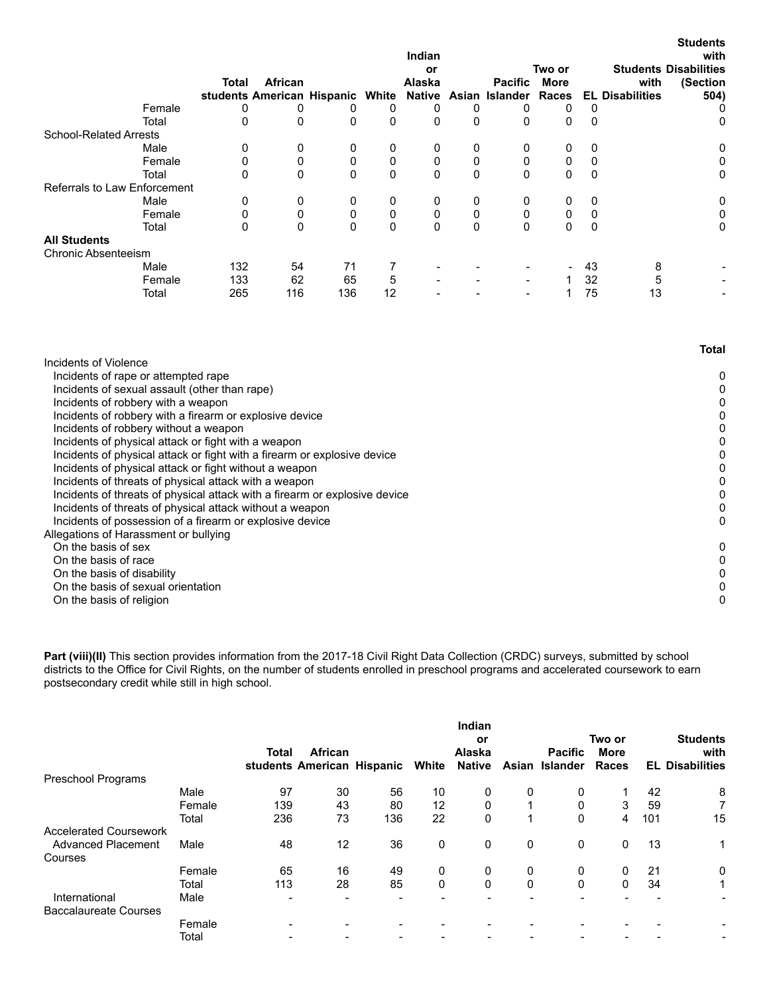|                               |        |       |                                  |     |              | Indian |          |                       |                          |    |                        | <b>Students</b><br>with      |
|-------------------------------|--------|-------|----------------------------------|-----|--------------|--------|----------|-----------------------|--------------------------|----|------------------------|------------------------------|
|                               |        |       |                                  |     |              | or     |          |                       | Two or                   |    |                        | <b>Students Disabilities</b> |
|                               |        | Total | African                          |     |              | Alaska |          | <b>Pacific</b>        | <b>More</b>              |    | with                   | (Section                     |
|                               |        |       | students American Hispanic White |     |              |        |          | Native Asian Islander | Races                    |    | <b>EL Disabilities</b> | 504)                         |
|                               | Female | 0     | 0                                | 0   | 0            | 0      | 0        | 0                     | 0                        | 0  |                        | 0                            |
|                               | Total  | 0     | 0                                | 0   | 0            | 0      | $\Omega$ | 0                     | 0                        | 0  |                        | 0                            |
| <b>School-Related Arrests</b> |        |       |                                  |     |              |        |          |                       |                          |    |                        |                              |
|                               | Male   | 0     | 0                                | 0   | 0            | 0      | 0        | 0                     | 0                        | 0  |                        | 0                            |
|                               | Female | 0     | 0                                | 0   | 0            | 0      |          | 0                     | 0                        | 0  |                        | 0                            |
|                               | Total  | 0     | 0                                | 0   | 0            | 0      | 0        | $\Omega$              | 0                        | 0  |                        | 0                            |
| Referrals to Law Enforcement  |        |       |                                  |     |              |        |          |                       |                          |    |                        |                              |
|                               | Male   | 0     | 0                                | 0   | 0            | 0      | 0        | 0                     | 0                        | 0  |                        | 0                            |
|                               | Female | 0     | 0                                | 0   | 0            | 0      | 0        | 0                     | 0                        | 0  |                        | 0                            |
|                               | Total  | 0     | 0                                | 0   | $\mathbf{0}$ | 0      | $\Omega$ | 0                     | 0                        | 0  |                        | 0                            |
| <b>All Students</b>           |        |       |                                  |     |              |        |          |                       |                          |    |                        |                              |
| <b>Chronic Absenteeism</b>    |        |       |                                  |     |              |        |          |                       |                          |    |                        |                              |
|                               | Male   | 132   | 54                               | 71  |              |        |          |                       | $\overline{\phantom{0}}$ | 43 | 8                      |                              |
|                               | Female | 133   | 62                               | 65  | 5            |        |          |                       |                          | 32 | 5                      |                              |
|                               | Total  | 265   | 116                              | 136 | 12           |        |          |                       |                          | 75 | 13                     |                              |

|                                                                            | Total |
|----------------------------------------------------------------------------|-------|
| Incidents of Violence                                                      |       |
| Incidents of rape or attempted rape                                        | 0     |
| Incidents of sexual assault (other than rape)                              |       |
| Incidents of robbery with a weapon                                         |       |
| Incidents of robbery with a firearm or explosive device                    |       |
| Incidents of robbery without a weapon                                      |       |
| Incidents of physical attack or fight with a weapon                        |       |
| Incidents of physical attack or fight with a firearm or explosive device   |       |
| Incidents of physical attack or fight without a weapon                     |       |
| Incidents of threats of physical attack with a weapon                      |       |
| Incidents of threats of physical attack with a firearm or explosive device |       |
| Incidents of threats of physical attack without a weapon                   |       |
| Incidents of possession of a firearm or explosive device                   | 0     |
| Allegations of Harassment or bullying                                      |       |
| On the basis of sex                                                        | 0     |
| On the basis of race                                                       |       |
| On the basis of disability                                                 |       |
| On the basis of sexual orientation                                         |       |
| On the basis of religion                                                   |       |

**Part (viii)(II)** This section provides information from the 2017-18 Civil Right Data Collection (CRDC) surveys, submitted by school districts to the Office for Civil Rights, on the number of students enrolled in preschool programs and accelerated coursework to earn postsecondary credit while still in high school.

|                               |        |       |                                       |     |       | Indian<br>or            |          |                                  | Two or               |     | <b>Students</b>                |
|-------------------------------|--------|-------|---------------------------------------|-----|-------|-------------------------|----------|----------------------------------|----------------------|-----|--------------------------------|
|                               |        | Total | African<br>students American Hispanic |     | White | Alaska<br><b>Native</b> |          | <b>Pacific</b><br>Asian Islander | <b>More</b><br>Races |     | with<br><b>EL Disabilities</b> |
| Preschool Programs            |        |       |                                       |     |       |                         |          |                                  |                      |     |                                |
|                               | Male   | 97    | 30                                    | 56  | 10    | 0                       | 0        | 0                                |                      | 42  | 8                              |
|                               | Female | 139   | 43                                    | 80  | 12    | 0                       |          | 0                                | 3                    | 59  | 7                              |
|                               | Total  | 236   | 73                                    | 136 | 22    | $\Omega$                |          | $\Omega$                         | 4                    | 101 | 15                             |
| <b>Accelerated Coursework</b> |        |       |                                       |     |       |                         |          |                                  |                      |     |                                |
| <b>Advanced Placement</b>     | Male   | 48    | 12                                    | 36  | 0     | 0                       | 0        | 0                                | 0                    | 13  | 1                              |
| Courses                       |        |       |                                       |     |       |                         |          |                                  |                      |     |                                |
|                               | Female | 65    | 16                                    | 49  | 0     | 0                       | 0        | 0                                | 0                    | 21  | 0                              |
|                               | Total  | 113   | 28                                    | 85  | 0     | 0                       | $\Omega$ | $\Omega$                         | $\Omega$             | 34  | 1                              |
| International                 | Male   |       |                                       |     |       |                         |          |                                  |                      |     | $\blacksquare$                 |
| <b>Baccalaureate Courses</b>  |        |       |                                       |     |       |                         |          |                                  |                      |     |                                |
|                               | Female |       |                                       |     |       |                         |          |                                  |                      |     |                                |
|                               | Total  |       |                                       |     |       |                         |          |                                  |                      |     | $\overline{\phantom{a}}$       |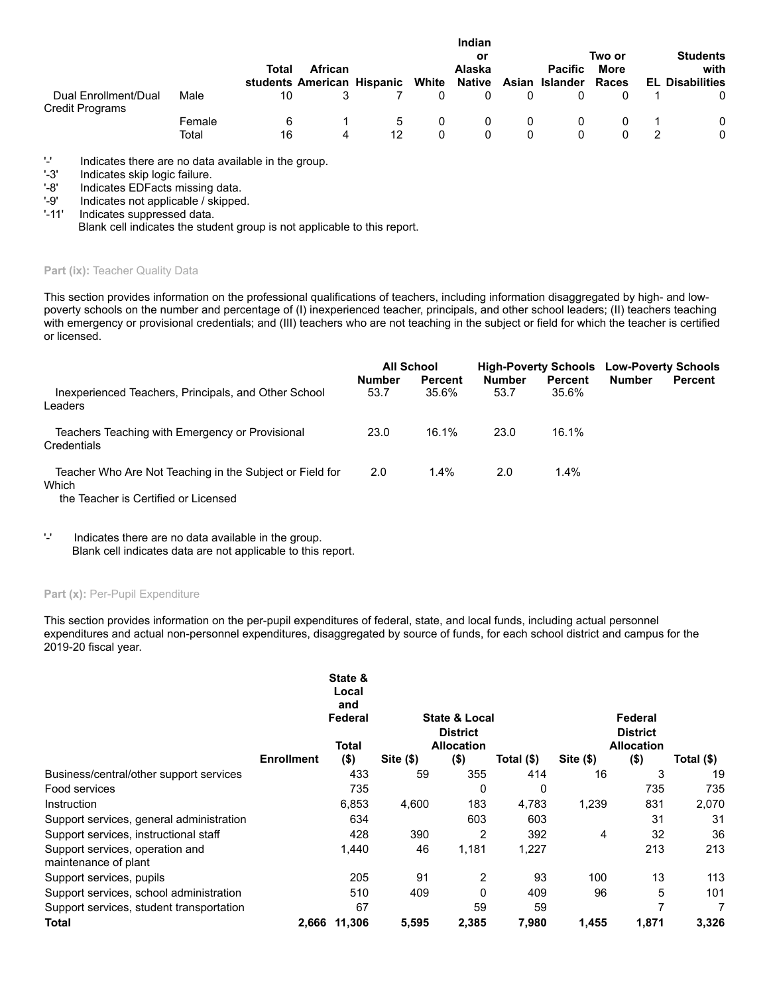|                                                |                 | Total | African<br>students American Hispanic |          | White | Indian<br>or<br><b>Alaska</b><br>Native |        | <b>Pacific</b><br>Asian Islander | Two or<br>More<br>Races | <b>Students</b><br>with<br><b>EL Disabilities</b> |
|------------------------------------------------|-----------------|-------|---------------------------------------|----------|-------|-----------------------------------------|--------|----------------------------------|-------------------------|---------------------------------------------------|
| Dual Enrollment/Dual<br><b>Credit Programs</b> | Male            | 10    |                                       |          |       |                                         | 0      |                                  |                         |                                                   |
|                                                | Female<br>Total | 16    | 4                                     | 5.<br>12 | 0     | $^{(1)}$                                | 0<br>0 |                                  |                         | 0<br>0                                            |

'-' Indicates there are no data available in the group.<br>'-3' Indicates skip logic failure.

Indicates skip logic failure.

'-8' Indicates EDFacts missing data.

'-9' Indicates not applicable / skipped.<br>'-11' Indicates suppressed data.

Indicates suppressed data.

Blank cell indicates the student group is not applicable to this report.

# Part (ix): Teacher Quality Data

This section provides information on the professional qualifications of teachers, including information disaggregated by high- and lowpoverty schools on the number and percentage of (I) inexperienced teacher, principals, and other school leaders; (II) teachers teaching with emergency or provisional credentials; and (III) teachers who are not teaching in the subject or field for which the teacher is certified or licensed.

|                                                                                                           |               | <b>All School</b> |               | <b>High-Poverty Schools</b> | <b>Low-Poverty Schools</b> |         |
|-----------------------------------------------------------------------------------------------------------|---------------|-------------------|---------------|-----------------------------|----------------------------|---------|
|                                                                                                           | <b>Number</b> | <b>Percent</b>    | <b>Number</b> | <b>Percent</b>              | <b>Number</b>              | Percent |
| Inexperienced Teachers, Principals, and Other School<br>Leaders                                           | 53.7          | 35.6%             | 53.7          | 35.6%                       |                            |         |
| Teachers Teaching with Emergency or Provisional<br>Credentials                                            | 23.0          | 16.1%             | 23.0          | 16.1%                       |                            |         |
| Teacher Who Are Not Teaching in the Subject or Field for<br>Which<br>the Teacher is Certified or Licensed | 2.0           | 1.4%              | 2.0           | 1.4%                        |                            |         |

the Teacher is Certified or Licensed

#### Part (x): Per-Pupil Expenditure

This section provides information on the per-pupil expenditures of federal, state, and local funds, including actual personnel expenditures and actual non-personnel expenditures, disaggregated by source of funds, for each school district and campus for the 2019-20 fiscal year.

|                                                         |                   | State &<br>Local<br>and<br>Federal<br>Total |          | <b>State &amp; Local</b><br><b>District</b><br><b>Allocation</b> |            |          | Federal<br><b>District</b><br><b>Allocation</b> |            |  |  |
|---------------------------------------------------------|-------------------|---------------------------------------------|----------|------------------------------------------------------------------|------------|----------|-------------------------------------------------|------------|--|--|
|                                                         | <b>Enrollment</b> | $($ \$)                                     | Site(\$) | $($ \$)                                                          | Total (\$) | Site(\$) | $($ \$)                                         | Total (\$) |  |  |
| Business/central/other support services                 |                   | 433                                         | 59       | 355                                                              | 414        | 16       | 3                                               | 19         |  |  |
| Food services                                           |                   | 735                                         |          | 0                                                                | 0          |          | 735                                             | 735        |  |  |
| Instruction                                             |                   | 6,853                                       | 4,600    | 183                                                              | 4,783      | 1,239    | 831                                             | 2,070      |  |  |
| Support services, general administration                |                   | 634                                         |          | 603                                                              | 603        |          | 31                                              | 31         |  |  |
| Support services, instructional staff                   |                   | 428                                         | 390      | 2                                                                | 392        | 4        | 32                                              | 36         |  |  |
| Support services, operation and<br>maintenance of plant |                   | 1,440                                       | 46       | 1,181                                                            | 1,227      |          | 213                                             | 213        |  |  |
| Support services, pupils                                |                   | 205                                         | 91       | 2                                                                | 93         | 100      | 13                                              | 113        |  |  |
| Support services, school administration                 |                   | 510                                         | 409      | 0                                                                | 409        | 96       | 5                                               | 101        |  |  |
| Support services, student transportation                |                   | 67                                          |          | 59                                                               | 59         |          | 7                                               |            |  |  |
| <b>Total</b>                                            | 2,666             | 11.306                                      | 5,595    | 2,385                                                            | 7,980      | 1,455    | 1,871                                           | 3,326      |  |  |

<sup>&#</sup>x27;-' Indicates there are no data available in the group. Blank cell indicates data are not applicable to this report.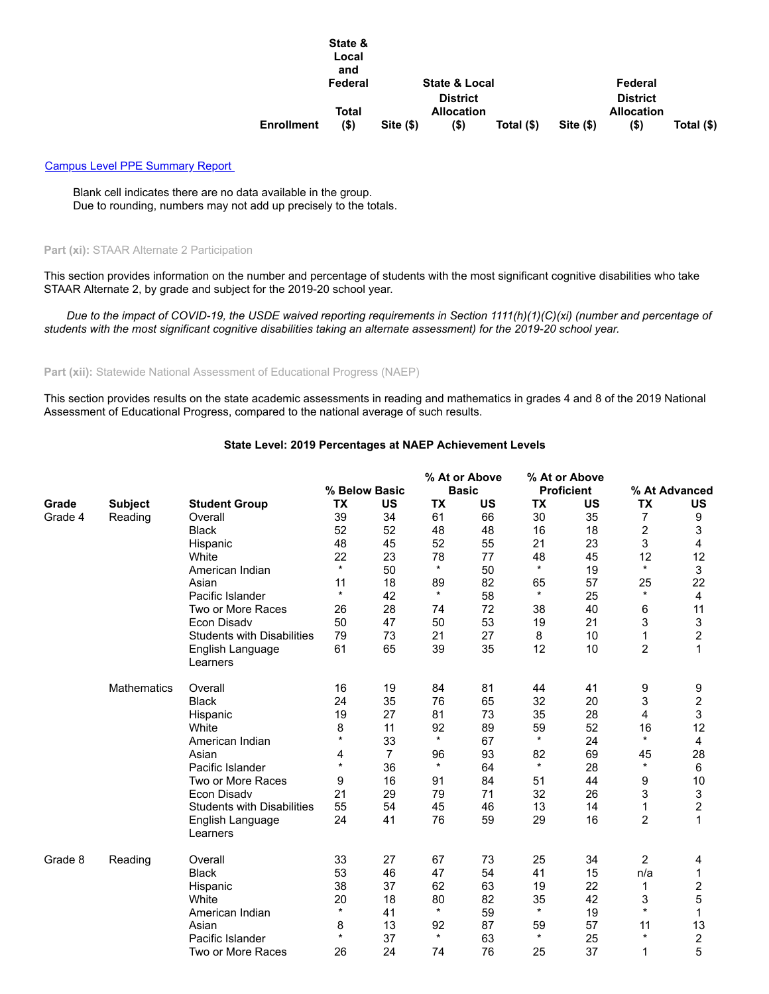|                   | State &<br>Local<br>and |          |                   |            |       |                   |            |
|-------------------|-------------------------|----------|-------------------|------------|-------|-------------------|------------|
|                   | Federal                 |          | State & Local     |            |       | Federal           |            |
|                   |                         |          | <b>District</b>   |            |       | <b>District</b>   |            |
|                   | Total                   |          | <b>Allocation</b> |            |       | <b>Allocation</b> |            |
| <b>Enrollment</b> | (\$)                    | Site(\$) | (\$)              | Total (\$) | Site( | (\$)              | Total (\$) |

#### [Campus Level PPE Summary Report](https://rptsvr1.tea.texas.gov/cgi/sas/broker?_service=marykay&year4=2019&year2=19&_debug=0&single=N&title=2019-20+Federal+Report+Card&_program=perfrept.perfmast.sas&prgopt=2020%2Ffrc%2Freport_card_link.sas&ptype=H&level=district&search=distnum&namenum=070801)

Blank cell indicates there are no data available in the group. Due to rounding, numbers may not add up precisely to the totals.

# **Part (xi):** STAAR Alternate 2 Participation

This section provides information on the number and percentage of students with the most significant cognitive disabilities who take STAAR Alternate 2, by grade and subject for the 2019-20 school year.

*Due to the impact of COVID-19, the USDE waived reporting requirements in Section 1111(h)(1)(C)(xi) (number and percentage of students with the most significant cognitive disabilities taking an alternate assessment) for the 2019-20 school year.*

#### Part (xii): Statewide National Assessment of Educational Progress (NAEP)

This section provides results on the state academic assessments in reading and mathematics in grades 4 and 8 of the 2019 National Assessment of Educational Progress, compared to the national average of such results.

## **State Level: 2019 Percentages at NAEP Achievement Levels**

|         |                |                                   |           |               | % At or Above |              | % At or Above     |           |                |                |
|---------|----------------|-----------------------------------|-----------|---------------|---------------|--------------|-------------------|-----------|----------------|----------------|
|         |                |                                   |           | % Below Basic |               | <b>Basic</b> | <b>Proficient</b> |           | % At Advanced  |                |
| Grade   | <b>Subject</b> | <b>Student Group</b>              | <b>TX</b> | <b>US</b>     | <b>TX</b>     | <b>US</b>    | <b>TX</b>         | <b>US</b> | <b>TX</b>      | <b>US</b>      |
| Grade 4 | Reading        | Overall                           | 39        | 34            | 61            | 66           | 30                | 35        | 7              | 9              |
|         |                | <b>Black</b>                      | 52        | 52            | 48            | 48           | 16                | 18        | 2              | 3              |
|         |                | Hispanic                          | 48        | 45            | 52            | 55           | 21                | 23        | 3              | 4              |
|         |                | White                             | 22        | 23            | 78            | 77           | 48                | 45        | 12             | 12             |
|         |                | American Indian                   | $\star$   | 50            | $\star$       | 50           | $\star$           | 19        | $\star$        | 3              |
|         |                | Asian                             | 11        | 18            | 89            | 82           | 65                | 57        | 25             | 22             |
|         |                | Pacific Islander                  | $\star$   | 42            | $\star$       | 58           | $\star$           | 25        | $\star$        | 4              |
|         |                | Two or More Races                 | 26        | 28            | 74            | 72           | 38                | 40        | 6              | 11             |
|         |                | Econ Disadv                       | 50        | 47            | 50            | 53           | 19                | 21        | 3              | 3              |
|         |                | <b>Students with Disabilities</b> | 79        | 73            | 21            | 27           | 8                 | 10        | 1              | $\overline{c}$ |
|         |                | English Language                  | 61        | 65            | 39            | 35           | 12                | 10        | $\overline{c}$ | 1              |
|         |                | Learners                          |           |               |               |              |                   |           |                |                |
|         | Mathematics    | Overall                           | 16        | 19            | 84            | 81           | 44                | 41        | 9              | 9              |
|         |                | <b>Black</b>                      | 24        | 35            | 76            | 65           | 32                | 20        | 3              | 2              |
|         |                | Hispanic                          | 19        | 27            | 81            | 73           | 35                | 28        | $\overline{4}$ | 3              |
|         |                | White                             | 8         | 11            | 92            | 89           | 59                | 52        | 16             | 12             |
|         |                | American Indian                   | $\star$   | 33            | $\star$       | 67           | $\star$           | 24        | $\star$        | 4              |
|         |                | Asian                             | 4         | 7             | 96            | 93           | 82                | 69        | 45             | 28             |
|         |                | Pacific Islander                  | $\star$   | 36            | $\star$       | 64           | $\star$           | 28        | $\star$        | 6              |
|         |                | Two or More Races                 | 9         | 16            | 91            | 84           | 51                | 44        | 9              | 10             |
|         |                | <b>Econ Disadv</b>                | 21        | 29            | 79            | 71           | 32                | 26        | 3              | 3              |
|         |                | <b>Students with Disabilities</b> | 55        | 54            | 45            | 46           | 13                | 14        | 1              | 2              |
|         |                | English Language                  | 24        | 41            | 76            | 59           | 29                | 16        | $\overline{c}$ | 1              |
|         |                | Learners                          |           |               |               |              |                   |           |                |                |
| Grade 8 | Reading        | Overall                           | 33        | 27            | 67            | 73           | 25                | 34        | 2              | 4              |
|         |                | <b>Black</b>                      | 53        | 46            | 47            | 54           | 41                | 15        | n/a            | 1              |
|         |                | Hispanic                          | 38        | 37            | 62            | 63           | 19                | 22        | 1              | 2              |
|         |                | White                             | 20        | 18            | 80            | 82           | 35                | 42        | 3              | 5              |
|         |                | American Indian                   | $\star$   | 41            | $\star$       | 59           | $\star$           | 19        | $\star$        | 1              |
|         |                | Asian                             | 8         | 13            | 92            | 87           | 59                | 57        | 11             | 13             |
|         |                | Pacific Islander                  | $\star$   | 37            | $\star$       | 63           | $\star$           | 25        | $\star$        | 2              |
|         |                | Two or More Races                 | 26        | 24            | 74            | 76           | 25                | 37        | 1              | 5              |